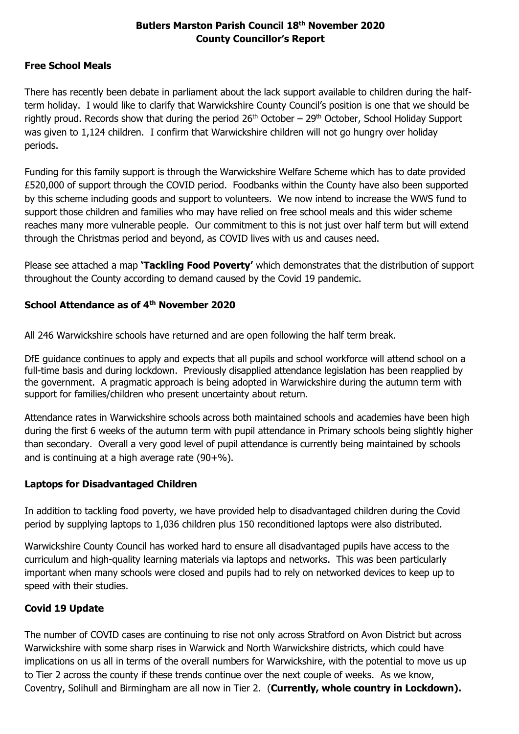# **Butlers Marston Parish Council 18 th November 2020 County Councillor's Report**

### **Free School Meals**

There has recently been debate in parliament about the lack support available to children during the halfterm holiday. I would like to clarify that Warwickshire County Council's position is one that we should be rightly proud. Records show that during the period  $26<sup>th</sup>$  October –  $29<sup>th</sup>$  October, School Holiday Support was given to 1,124 children. I confirm that Warwickshire children will not go hungry over holiday periods.

Funding for this family support is through the Warwickshire Welfare Scheme which has to date provided £520,000 of support through the COVID period. Foodbanks within the County have also been supported by this scheme including goods and support to volunteers. We now intend to increase the WWS fund to support those children and families who may have relied on free school meals and this wider scheme reaches many more vulnerable people. Our commitment to this is not just over half term but will extend through the Christmas period and beyond, as COVID lives with us and causes need.

Please see attached a map **'Tackling Food Poverty'** which demonstrates that the distribution of support throughout the County according to demand caused by the Covid 19 pandemic.

# **School Attendance as of 4th November 2020**

All 246 Warwickshire schools have returned and are open following the half term break.

DfE guidance continues to apply and expects that all pupils and school workforce will attend school on a full-time basis and during lockdown. Previously disapplied attendance legislation has been reapplied by the government. A pragmatic approach is being adopted in Warwickshire during the autumn term with support for families/children who present uncertainty about return.

Attendance rates in Warwickshire schools across both maintained schools and academies have been high during the first 6 weeks of the autumn term with pupil attendance in Primary schools being slightly higher than secondary. Overall a very good level of pupil attendance is currently being maintained by schools and is continuing at a high average rate  $(90+%)$ .

# **Laptops for Disadvantaged Children**

In addition to tackling food poverty, we have provided help to disadvantaged children during the Covid period by supplying laptops to 1,036 children plus 150 reconditioned laptops were also distributed.

Warwickshire County Council has worked hard to ensure all disadvantaged pupils have access to the curriculum and high-quality learning materials via laptops and networks. This was been particularly important when many schools were closed and pupils had to rely on networked devices to keep up to speed with their studies.

# **Covid 19 Update**

The number of COVID cases are continuing to rise not only across Stratford on Avon District but across Warwickshire with some sharp rises in Warwick and North Warwickshire districts, which could have implications on us all in terms of the overall numbers for Warwickshire, with the potential to move us up to Tier 2 across the county if these trends continue over the next couple of weeks. As we know, Coventry, Solihull and Birmingham are all now in Tier 2. (**Currently, whole country in Lockdown).**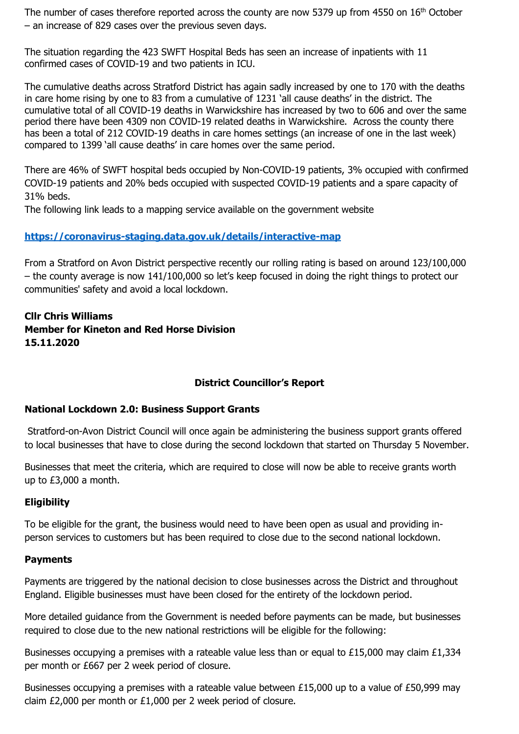The number of cases therefore reported across the county are now 5379 up from 4550 on 16<sup>th</sup> October – an increase of 829 cases over the previous seven days.

The situation regarding the 423 SWFT Hospital Beds has seen an increase of inpatients with 11 confirmed cases of COVID-19 and two patients in ICU.

The cumulative deaths across Stratford District has again sadly increased by one to 170 with the deaths in care home rising by one to 83 from a cumulative of 1231 'all cause deaths' in the district. The cumulative total of all COVID-19 deaths in Warwickshire has increased by two to 606 and over the same period there have been 4309 non COVID-19 related deaths in Warwickshire. Across the county there has been a total of 212 COVID-19 deaths in care homes settings (an increase of one in the last week) compared to 1399 'all cause deaths' in care homes over the same period.

There are 46% of SWFT hospital beds occupied by Non-COVID-19 patients, 3% occupied with confirmed COVID-19 patients and 20% beds occupied with suspected COVID-19 patients and a spare capacity of 31% beds.

The following link leads to a mapping service available on the government website

### **[https://coronavirus-staging.data.gov.uk/details/interactive-map](https://eur02.safelinks.protection.outlook.com/?url=https%3A%2F%2Fcoronavirus-staging.data.gov.uk%2Fdetails%2Finteractive-map&data=04%7C01%7Cchriswilliams%40warwickshire.gov.uk%7Cf56635b1c5c9494c266708d87a8e0283%7C88b0aa0659274bbba89389cc2713ac82%7C0%7C0%7C637394098645935292%7CUnknown%7CTWFpbGZsb3d8eyJWIjoiMC4wLjAwMDAiLCJQIjoiV2luMzIiLCJBTiI6Ik1haWwiLCJXVCI6Mn0%3D%7C1000&sdata=bua9GvyN48VRxpITar7rrPagBqgRMjSRT8d4FfjmqsI%3D&reserved=0)**

From a Stratford on Avon District perspective recently our rolling rating is based on around 123/100,000 – the county average is now 141/100,000 so let's keep focused in doing the right things to protect our communities' safety and avoid a local lockdown.

# **Cllr Chris Williams Member for Kineton and Red Horse Division 15.11.2020**

# **District Councillor's Report**

### **National Lockdown 2.0: Business Support Grants**

Stratford-on-Avon District Council will once again be administering the business support grants offered to local businesses that have to close during the second lockdown that started on Thursday 5 November.

Businesses that meet the criteria, which are required to close will now be able to receive grants worth up to £3,000 a month.

### **Eligibility**

To be eligible for the grant, the business would need to have been open as usual and providing inperson services to customers but has been required to close due to the second national lockdown.

#### **Payments**

Payments are triggered by the national decision to close businesses across the District and throughout England. Eligible businesses must have been closed for the entirety of the lockdown period.

More detailed guidance from the Government is needed before payments can be made, but businesses required to close due to the new national restrictions will be eligible for the following:

Businesses occupying a premises with a rateable value less than or equal to £15,000 may claim £1,334 per month or £667 per 2 week period of closure.

Businesses occupying a premises with a rateable value between £15,000 up to a value of £50,999 may claim £2,000 per month or £1,000 per 2 week period of closure.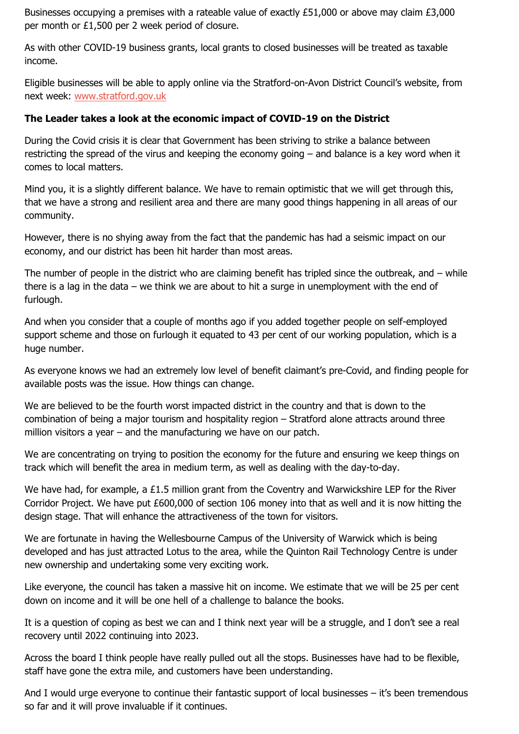Businesses occupying a premises with a rateable value of exactly £51,000 or above may claim £3,000 per month or £1,500 per 2 week period of closure.

As with other COVID-19 business grants, local grants to closed businesses will be treated as taxable income.

Eligible businesses will be able to apply online via the Stratford-on-Avon District Council's website, from next week: [www.stratford.gov.uk](https://sdcportal.stratford.gov.uk/coronavirus/,DanaInfo=www.stratford.gov.uk,SSL+local-restrictions-support-grant-national-lockdown.cfm)

## **The Leader takes a look at the economic impact of COVID-19 on the District**

During the Covid crisis it is clear that Government has been striving to strike a balance between restricting the spread of the virus and keeping the economy going – and balance is a key word when it comes to local matters.

Mind you, it is a slightly different balance. We have to remain optimistic that we will get through this, that we have a strong and resilient area and there are many good things happening in all areas of our community.

However, there is no shying away from the fact that the pandemic has had a seismic impact on our economy, and our district has been hit harder than most areas.

The number of people in the district who are claiming benefit has tripled since the outbreak, and  $-$  while there is a lag in the data – we think we are about to hit a surge in unemployment with the end of furlough.

And when you consider that a couple of months ago if you added together people on self-employed support scheme and those on furlough it equated to 43 per cent of our working population, which is a huge number.

As everyone knows we had an extremely low level of benefit claimant's pre-Covid, and finding people for available posts was the issue. How things can change.

We are believed to be the fourth worst impacted district in the country and that is down to the combination of being a major tourism and hospitality region – Stratford alone attracts around three million visitors a year – and the manufacturing we have on our patch.

We are concentrating on trying to position the economy for the future and ensuring we keep things on track which will benefit the area in medium term, as well as dealing with the day-to-day.

We have had, for example, a £1.5 million grant from the Coventry and Warwickshire LEP for the River Corridor Project. We have put £600,000 of section 106 money into that as well and it is now hitting the design stage. That will enhance the attractiveness of the town for visitors.

We are fortunate in having the Wellesbourne Campus of the University of Warwick which is being developed and has just attracted Lotus to the area, while the Quinton Rail Technology Centre is under new ownership and undertaking some very exciting work.

Like everyone, the council has taken a massive hit on income. We estimate that we will be 25 per cent down on income and it will be one hell of a challenge to balance the books.

It is a question of coping as best we can and I think next year will be a struggle, and I don't see a real recovery until 2022 continuing into 2023.

Across the board I think people have really pulled out all the stops. Businesses have had to be flexible, staff have gone the extra mile, and customers have been understanding.

And I would urge everyone to continue their fantastic support of local businesses – it's been tremendous so far and it will prove invaluable if it continues.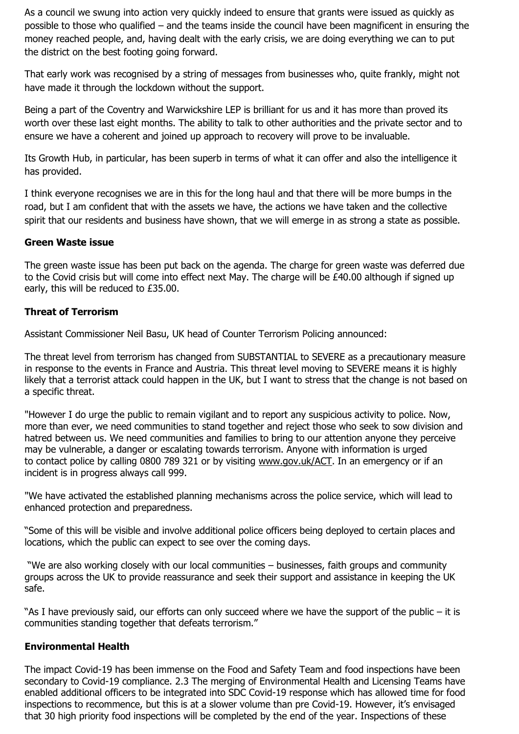As a council we swung into action very quickly indeed to ensure that grants were issued as quickly as possible to those who qualified – and the teams inside the council have been magnificent in ensuring the money reached people, and, having dealt with the early crisis, we are doing everything we can to put the district on the best footing going forward.

That early work was recognised by a string of messages from businesses who, quite frankly, might not have made it through the lockdown without the support.

Being a part of the Coventry and Warwickshire LEP is brilliant for us and it has more than proved its worth over these last eight months. The ability to talk to other authorities and the private sector and to ensure we have a coherent and joined up approach to recovery will prove to be invaluable.

Its Growth Hub, in particular, has been superb in terms of what it can offer and also the intelligence it has provided.

I think everyone recognises we are in this for the long haul and that there will be more bumps in the road, but I am confident that with the assets we have, the actions we have taken and the collective spirit that our residents and business have shown, that we will emerge in as strong a state as possible.

#### **Green Waste issue**

The green waste issue has been put back on the agenda. The charge for green waste was deferred due to the Covid crisis but will come into effect next May. The charge will be £40.00 although if signed up early, this will be reduced to £35.00.

### **Threat of Terrorism**

Assistant Commissioner Neil Basu, UK head of Counter Terrorism Policing announced:

The threat level from terrorism has changed from SUBSTANTIAL to SEVERE as a precautionary measure in response to the events in France and Austria. This threat level moving to SEVERE means it is highly likely that a terrorist attack could happen in the UK, but I want to stress that the change is not based on a specific threat.

"However I do urge the public to remain vigilant and to report any suspicious activity to police. Now, more than ever, we need communities to stand together and reject those who seek to sow division and hatred between us. We need communities and families to bring to our attention anyone they perceive may be vulnerable, a danger or escalating towards terrorism. Anyone with information is urged to contact police by calling 0800 789 321 or by visiting [www.gov.uk/ACT.](https://sdcportal.stratford.gov.uk/,DanaInfo=eur02.safelinks.protection.outlook.com,SSL+?url=http%3A%2F%2Fwww.gov.uk%2FACT&data=04%7C01%7CMarcus.O%27shea%40met.police.uk%7Cace29122476848e9c6d208d8801d42cc%7Cf3ee2a7e72354d28ab42617c4c17f0c1%7C0%7C0%7C637400210441154855%7CUnknown%7CTWFpbGZsb3d8eyJWIjoiMC4wLjAwMDAiLCJQIjoiV2luMzIiLCJBTiI6Ik1haWwiLCJXVCI6Mn0%3D%7C1000&sdata=eyx%2Br3BNyNvKmqcgUrXduKbRHEXhW1E%2B93ktP4FXIZQ%3D&reserved=0) In an emergency or if an incident is in progress always call 999.

"We have activated the established planning mechanisms across the police service, which will lead to enhanced protection and preparedness.

"Some of this will be visible and involve additional police officers being deployed to certain places and locations, which the public can expect to see over the coming days.

"We are also working closely with our local communities – businesses, faith groups and community groups across the UK to provide reassurance and seek their support and assistance in keeping the UK safe.

"As I have previously said, our efforts can only succeed where we have the support of the public – it is communities standing together that defeats terrorism."

### **Environmental Health**

The impact Covid-19 has been immense on the Food and Safety Team and food inspections have been secondary to Covid-19 compliance. 2.3 The merging of Environmental Health and Licensing Teams have enabled additional officers to be integrated into SDC Covid-19 response which has allowed time for food inspections to recommence, but this is at a slower volume than pre Covid-19. However, it's envisaged that 30 high priority food inspections will be completed by the end of the year. Inspections of these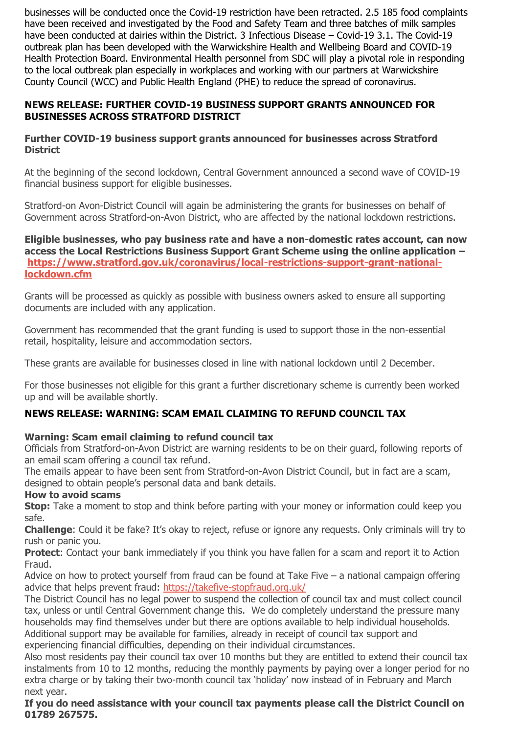businesses will be conducted once the Covid-19 restriction have been retracted. 2.5 185 food complaints have been received and investigated by the Food and Safety Team and three batches of milk samples have been conducted at dairies within the District. 3 Infectious Disease – Covid-19 3.1. The Covid-19 outbreak plan has been developed with the Warwickshire Health and Wellbeing Board and COVID-19 Health Protection Board. Environmental Health personnel from SDC will play a pivotal role in responding to the local outbreak plan especially in workplaces and working with our partners at Warwickshire County Council (WCC) and Public Health England (PHE) to reduce the spread of coronavirus.

## **NEWS RELEASE: FURTHER COVID-19 BUSINESS SUPPORT GRANTS ANNOUNCED FOR BUSINESSES ACROSS STRATFORD DISTRICT**

### **Further COVID-19 business support grants announced for businesses across Stratford District**

At the beginning of the second lockdown, Central Government announced a second wave of COVID-19 financial business support for eligible businesses.

Stratford-on Avon-District Council will again be administering the grants for businesses on behalf of Government across Stratford-on-Avon District, who are affected by the national lockdown restrictions.

#### **Eligible businesses, who pay business rate and have a non-domestic rates account, can now access the Local Restrictions Business Support Grant Scheme using the online application – [https://www.stratford.gov.uk/coronavirus/local-restrictions-support-grant-national](https://sdcportal.stratford.gov.uk/coronavirus/,DanaInfo=www.stratford.gov.uk,SSL+local-restrictions-support-grant-national-lockdown.cfm)[lockdown.cfm](https://sdcportal.stratford.gov.uk/coronavirus/,DanaInfo=www.stratford.gov.uk,SSL+local-restrictions-support-grant-national-lockdown.cfm)**

Grants will be processed as quickly as possible with business owners asked to ensure all supporting documents are included with any application.

Government has recommended that the grant funding is used to support those in the non-essential retail, hospitality, leisure and accommodation sectors.

These grants are available for businesses closed in line with national lockdown until 2 December.

For those businesses not eligible for this grant a further discretionary scheme is currently been worked up and will be available shortly.

# **NEWS RELEASE: WARNING: SCAM EMAIL CLAIMING TO REFUND COUNCIL TAX**

# **Warning: Scam email claiming to refund council tax**

Officials from Stratford-on-Avon District are warning residents to be on their guard, following reports of an email scam offering a council tax refund.

The emails appear to have been sent from Stratford-on-Avon District Council, but in fact are a scam, designed to obtain people's personal data and bank details.

### **How to avoid scams**

**Stop:** Take a moment to stop and think before parting with your money or information could keep you safe.

**Challenge**: Could it be fake? It's okay to reject, refuse or ignore any requests. Only criminals will try to rush or panic you.

**Protect:** Contact your bank immediately if you think you have fallen for a scam and report it to Action Fraud.

Advice on how to protect yourself from fraud can be found at Take Five – a national campaign offering advice that helps prevent fraud: [https://takefive-stopfraud.org.uk/](https://sdcportal.stratford.gov.uk/,DanaInfo=takefive-stopfraud.org.uk,SSL+)

The District Council has no legal power to suspend the collection of council tax and must collect council tax, unless or until Central Government change this. We do completely understand the pressure many households may find themselves under but there are options available to help individual households. Additional support may be available for families, already in receipt of council tax support and experiencing financial difficulties, depending on their individual circumstances.

Also most residents pay their council tax over 10 months but they are entitled to extend their council tax instalments from 10 to 12 months, reducing the monthly payments by paying over a longer period for no extra charge or by taking their two-month council tax 'holiday' now instead of in February and March next year.

#### **If you do need assistance with your council tax payments please call the District Council on 01789 267575.**